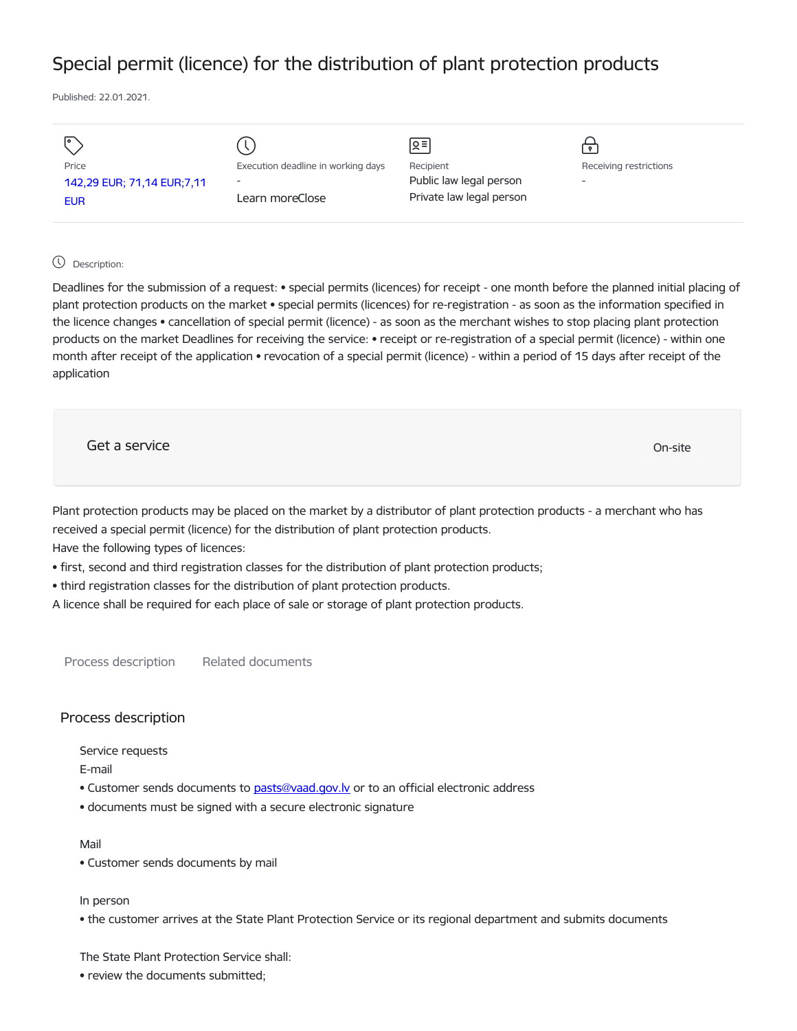## Special permit (licence) for the distribution of plant protection products

Published: 22.01.2021.

|                            |                                    | Զ≡                       | $\mathbf{P}$             |
|----------------------------|------------------------------------|--------------------------|--------------------------|
| Price                      | Execution deadline in working days | Recipient                | Receiving restrictions   |
| 142,29 EUR; 71,14 EUR;7,11 | $\overline{\phantom{a}}$           | Public law legal person  | $\overline{\phantom{a}}$ |
| <b>EUR</b>                 | Learn moreClose                    | Private law legal person |                          |
|                            |                                    |                          |                          |

## Description:

Deadlines for the submission of a request: • special permits (licences) for receipt - one month before the planned initial placing of plant protection products on the market • special permits (licences) for re-registration - as soon as the information specified in the licence changes • cancellation of special permit (licence) - as soon as the merchant wishes to stop placing plant protection products on the market Deadlines for receiving the service: • receipt or re-registration of a special permit (licence) - within one month after receipt of the application • revocation of a special permit (licence) - within a period of 15 days after receipt of the application

Get a service only a service of the contract of the contract of the contract of the contract of the contract of the contract of the contract of the contract of the contract of the contract of the contract of the contract o

Plant protection products may be placed on the market by a distributor of plant protection products - a merchant who has received a special permit (licence) for the distribution of plant protection products.

Have the following types of licences:

- first, second and third registration classes for the distribution of plant protection products;
- third registration classes for the distribution of plant protection products.

A licence shall be required for each place of sale or storage of plant protection products.

Process description Related documents

## Process description

Service requests

E-mail

- Customer sends documents to [pasts@vaad.gov.lv](mailto:pasts@vaad.gov.lv) or to an official electronic address
- documents must be signed with a secure electronic signature

## Mail

• Customer sends documents by mail

In person

• the customer arrives at the State Plant Protection Service or its regional department and submits documents

The State Plant Protection Service shall:

• review the documents submitted;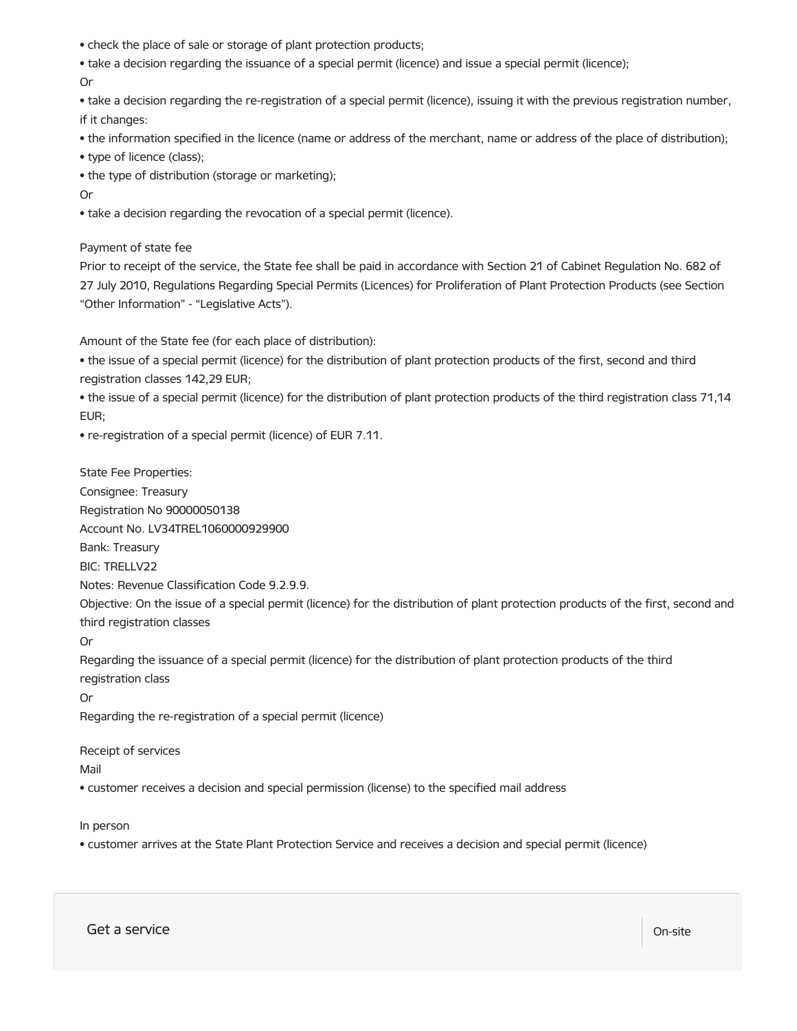- check the place of sale or storage of plant protection products;
- take a decision regarding the issuance of a special permit (licence) and issue a special permit (licence);
- Or

• take a decision regarding the re-registration of a special permit (licence), issuing it with the previous registration number, if it changes:

• the information specified in the licence (name or address of the merchant, name or address of the place of distribution);

- type of licence (class);
- the type of distribution (storage or marketing);

Or

• take a decision regarding the revocation of a special permit (licence).

Payment of state fee

Prior to receipt of the service, the State fee shall be paid in accordance with Section 21 of Cabinet Regulation No. 682 of 27 July 2010, Regulations Regarding Special Permits (Licences) for Proliferation of Plant Protection Products (see Section "Other Information" - "Legislative Acts").

Amount of the State fee (for each place of distribution):

• the issue of a special permit (licence) for the distribution of plant protection products of the first, second and third registration classes 142,29 EUR;

• the issue of a special permit (licence) for the distribution of plant protection products of the third registration class 71,14 EUR;

• re-registration of a special permit (licence) of EUR 7.11.

State Fee Properties:

Consignee: Treasury

Registration No 90000050138

Account No. LV34TREL1060000929900

Bank: Treasury

BIC: TRELLV22

Notes: Revenue Classification Code 9.2.9.9.

Objective: On the issue of a special permit (licence) for the distribution of plant protection products of the first, second and third registration classes

Or

Regarding the issuance of a special permit (licence) for the distribution of plant protection products of the third registration class

Or

Regarding the re-registration of a special permit (licence)

Receipt of services

Mail

• customer receives a decision and special permission (license) to the specified mail address

In person

• customer arrives at the State Plant Protection Service and receives a decision and special permit (licence)